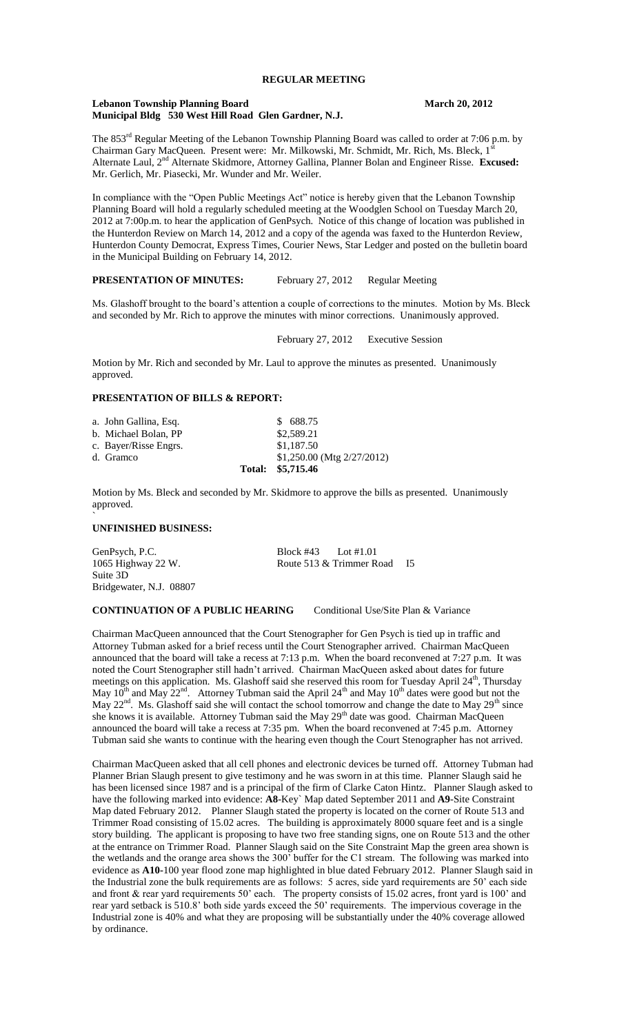### **Lebanon Township Planning Board March 20, 2012 Municipal Bldg 530 West Hill Road Glen Gardner, N.J.**

The 853<sup>rd</sup> Regular Meeting of the Lebanon Township Planning Board was called to order at 7:06 p.m. by Chairman Gary MacQueen. Present were: Mr. Milkowski, Mr. Schmidt, Mr. Rich, Ms. Bleck, 1' Alternate Laul, 2nd Alternate Skidmore, Attorney Gallina, Planner Bolan and Engineer Risse. **Excused:** Mr. Gerlich, Mr. Piasecki, Mr. Wunder and Mr. Weiler.

In compliance with the "Open Public Meetings Act" notice is hereby given that the Lebanon Township Planning Board will hold a regularly scheduled meeting at the Woodglen School on Tuesday March 20, 2012 at 7:00p.m. to hear the application of GenPsych. Notice of this change of location was published in the Hunterdon Review on March 14, 2012 and a copy of the agenda was faxed to the Hunterdon Review, Hunterdon County Democrat, Express Times, Courier News, Star Ledger and posted on the bulletin board in the Municipal Building on February 14, 2012.

# **PRESENTATION OF MINUTES:** February 27, 2012 Regular Meeting

Ms. Glashoff brought to the board's attention a couple of corrections to the minutes. Motion by Ms. Bleck and seconded by Mr. Rich to approve the minutes with minor corrections. Unanimously approved.

February 27, 2012 Executive Session

Motion by Mr. Rich and seconded by Mr. Laul to approve the minutes as presented. Unanimously approved.

# **PRESENTATION OF BILLS & REPORT:**

|                       | Total: \$5,715.46              |
|-----------------------|--------------------------------|
| d. Gramco             | $$1,250.00$ (Mtg $2/27/2012$ ) |
| c. Bayer/Risse Engrs. | \$1,187.50                     |
| b. Michael Bolan, PP  | \$2,589.21                     |
| a. John Gallina, Esq. | \$688.75                       |

Motion by Ms. Bleck and seconded by Mr. Skidmore to approve the bills as presented. Unanimously approved.

# **UNFINISHED BUSINESS:**

`

| GenPsych, P.C.          | Block #43 Lot #1.01 |                          |           |
|-------------------------|---------------------|--------------------------|-----------|
| 1065 Highway 22 W.      |                     | Route 513 & Trimmer Road | <b>I5</b> |
| Suite 3D                |                     |                          |           |
| Bridgewater, N.J. 08807 |                     |                          |           |

**CONTINUATION OF A PUBLIC HEARING** Conditional Use/Site Plan & Variance

Chairman MacQueen announced that the Court Stenographer for Gen Psych is tied up in traffic and Attorney Tubman asked for a brief recess until the Court Stenographer arrived. Chairman MacQueen announced that the board will take a recess at 7:13 p.m. When the board reconvened at 7:27 p.m. It was noted the Court Stenographer still hadn't arrived. Chairman MacQueen asked about dates for future meetings on this application. Ms. Glashoff said she reserved this room for Tuesday April 24<sup>th</sup>, Thursday May  $10^{th}$  and May  $22^{nd}$ . Attorney Tubman said the April  $24^{th}$  and May  $10^{th}$  dates were good but not the May 22<sup>nd</sup>. Ms. Glashoff said she will contact the school tomorrow and change the date to May 29<sup>th</sup> since she knows it is available. Attorney Tubman said the May 29<sup>th</sup> date was good. Chairman MacQueen announced the board will take a recess at 7:35 pm. When the board reconvened at 7:45 p.m. Attorney Tubman said she wants to continue with the hearing even though the Court Stenographer has not arrived.

Chairman MacQueen asked that all cell phones and electronic devices be turned off. Attorney Tubman had Planner Brian Slaugh present to give testimony and he was sworn in at this time. Planner Slaugh said he has been licensed since 1987 and is a principal of the firm of Clarke Caton Hintz. Planner Slaugh asked to have the following marked into evidence: **A8**-Key` Map dated September 2011 and **A9**-Site Constraint Map dated February 2012. Planner Slaugh stated the property is located on the corner of Route 513 and Trimmer Road consisting of 15.02 acres. The building is approximately 8000 square feet and is a single story building. The applicant is proposing to have two free standing signs, one on Route 513 and the other at the entrance on Trimmer Road. Planner Slaugh said on the Site Constraint Map the green area shown is the wetlands and the orange area shows the 300' buffer for the C1 stream. The following was marked into evidence as **A10-**100 year flood zone map highlighted in blue dated February 2012. Planner Slaugh said in the Industrial zone the bulk requirements are as follows: 5 acres, side yard requirements are 50' each side and front & rear yard requirements 50' each. The property consists of 15.02 acres, front yard is 100' and rear yard setback is 510.8' both side yards exceed the 50' requirements. The impervious coverage in the Industrial zone is 40% and what they are proposing will be substantially under the 40% coverage allowed by ordinance.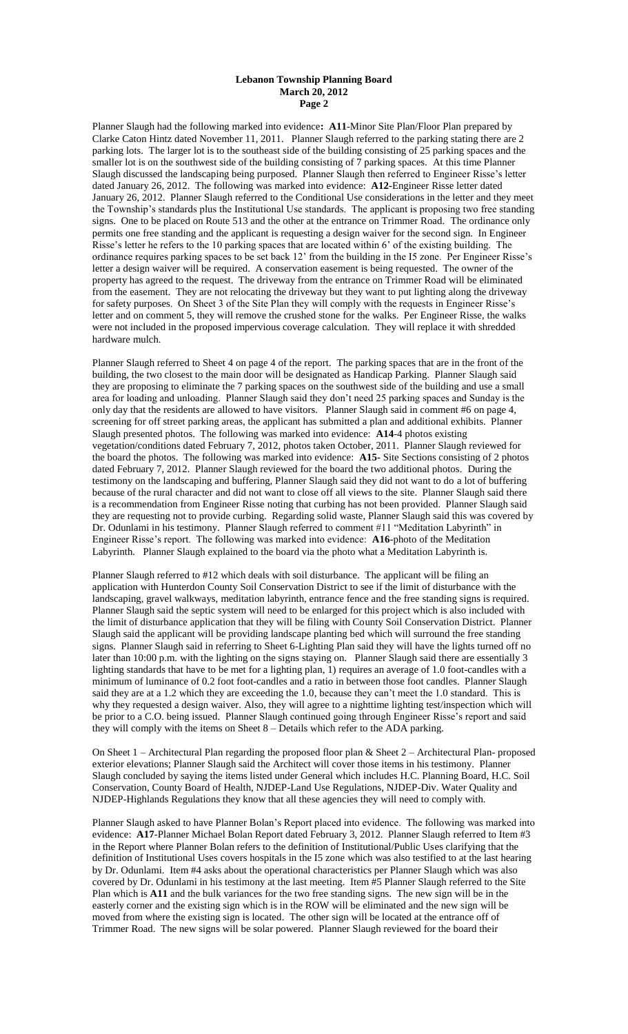### **Lebanon Township Planning Board March 20, 2012 Page 2**

Planner Slaugh had the following marked into evidence**: A11**-Minor Site Plan/Floor Plan prepared by Clarke Caton Hintz dated November 11, 2011. Planner Slaugh referred to the parking stating there are 2 parking lots. The larger lot is to the southeast side of the building consisting of 25 parking spaces and the smaller lot is on the southwest side of the building consisting of 7 parking spaces. At this time Planner Slaugh discussed the landscaping being purposed. Planner Slaugh then referred to Engineer Risse's letter dated January 26, 2012. The following was marked into evidence: **A12-**Engineer Risse letter dated January 26, 2012. Planner Slaugh referred to the Conditional Use considerations in the letter and they meet the Township's standards plus the Institutional Use standards. The applicant is proposing two free standing signs. One to be placed on Route 513 and the other at the entrance on Trimmer Road. The ordinance only permits one free standing and the applicant is requesting a design waiver for the second sign. In Engineer Risse's letter he refers to the 10 parking spaces that are located within 6' of the existing building. The ordinance requires parking spaces to be set back 12' from the building in the I5 zone. Per Engineer Risse's letter a design waiver will be required. A conservation easement is being requested. The owner of the property has agreed to the request. The driveway from the entrance on Trimmer Road will be eliminated from the easement. They are not relocating the driveway but they want to put lighting along the driveway for safety purposes. On Sheet 3 of the Site Plan they will comply with the requests in Engineer Risse's letter and on comment 5, they will remove the crushed stone for the walks. Per Engineer Risse, the walks were not included in the proposed impervious coverage calculation. They will replace it with shredded hardware mulch.

Planner Slaugh referred to Sheet 4 on page 4 of the report. The parking spaces that are in the front of the building, the two closest to the main door will be designated as Handicap Parking. Planner Slaugh said they are proposing to eliminate the 7 parking spaces on the southwest side of the building and use a small area for loading and unloading. Planner Slaugh said they don't need 25 parking spaces and Sunday is the only day that the residents are allowed to have visitors. Planner Slaugh said in comment #6 on page 4, screening for off street parking areas, the applicant has submitted a plan and additional exhibits. Planner Slaugh presented photos. The following was marked into evidence: **A14**-4 photos existing vegetation/conditions dated February 7, 2012, photos taken October, 2011. Planner Slaugh reviewed for the board the photos. The following was marked into evidence: **A15-** Site Sections consisting of 2 photos dated February 7, 2012. Planner Slaugh reviewed for the board the two additional photos. During the testimony on the landscaping and buffering, Planner Slaugh said they did not want to do a lot of buffering because of the rural character and did not want to close off all views to the site. Planner Slaugh said there is a recommendation from Engineer Risse noting that curbing has not been provided. Planner Slaugh said they are requesting not to provide curbing. Regarding solid waste, Planner Slaugh said this was covered by Dr. Odunlami in his testimony. Planner Slaugh referred to comment #11 "Meditation Labyrinth" in Engineer Risse's report. The following was marked into evidence: **A16-**photo of the Meditation Labyrinth. Planner Slaugh explained to the board via the photo what a Meditation Labyrinth is.

Planner Slaugh referred to #12 which deals with soil disturbance. The applicant will be filing an application with Hunterdon County Soil Conservation District to see if the limit of disturbance with the landscaping, gravel walkways, meditation labyrinth, entrance fence and the free standing signs is required. Planner Slaugh said the septic system will need to be enlarged for this project which is also included with the limit of disturbance application that they will be filing with County Soil Conservation District. Planner Slaugh said the applicant will be providing landscape planting bed which will surround the free standing signs. Planner Slaugh said in referring to Sheet 6-Lighting Plan said they will have the lights turned off no later than 10:00 p.m. with the lighting on the signs staying on. Planner Slaugh said there are essentially 3 lighting standards that have to be met for a lighting plan, 1) requires an average of 1.0 foot-candles with a minimum of luminance of 0.2 foot foot-candles and a ratio in between those foot candles. Planner Slaugh said they are at a 1.2 which they are exceeding the 1.0, because they can't meet the 1.0 standard. This is why they requested a design waiver. Also, they will agree to a nighttime lighting test/inspection which will be prior to a C.O. being issued. Planner Slaugh continued going through Engineer Risse's report and said they will comply with the items on Sheet 8 – Details which refer to the ADA parking.

On Sheet 1 – Architectural Plan regarding the proposed floor plan & Sheet 2 – Architectural Plan- proposed exterior elevations; Planner Slaugh said the Architect will cover those items in his testimony. Planner Slaugh concluded by saying the items listed under General which includes H.C. Planning Board, H.C. Soil Conservation, County Board of Health, NJDEP-Land Use Regulations, NJDEP-Div. Water Quality and NJDEP-Highlands Regulations they know that all these agencies they will need to comply with.

Planner Slaugh asked to have Planner Bolan's Report placed into evidence. The following was marked into evidence: **A17**-Planner Michael Bolan Report dated February 3, 2012. Planner Slaugh referred to Item #3 in the Report where Planner Bolan refers to the definition of Institutional/Public Uses clarifying that the definition of Institutional Uses covers hospitals in the I5 zone which was also testified to at the last hearing by Dr. Odunlami. Item #4 asks about the operational characteristics per Planner Slaugh which was also covered by Dr. Odunlami in his testimony at the last meeting. Item #5 Planner Slaugh referred to the Site Plan which is **A11** and the bulk variances for the two free standing signs. The new sign will be in the easterly corner and the existing sign which is in the ROW will be eliminated and the new sign will be moved from where the existing sign is located. The other sign will be located at the entrance off of Trimmer Road. The new signs will be solar powered. Planner Slaugh reviewed for the board their